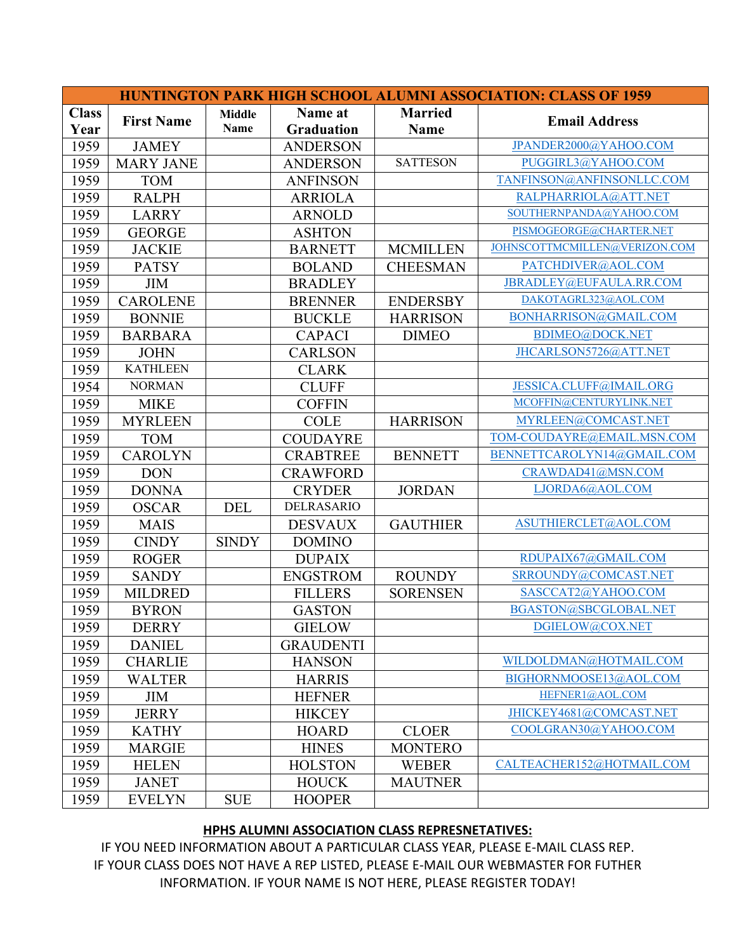|                      |                   |                              |                              |                               | <b>HUNTINGTON PARK HIGH SCHOOL ALUMNI ASSOCIATION: CLASS OF 1959</b> |
|----------------------|-------------------|------------------------------|------------------------------|-------------------------------|----------------------------------------------------------------------|
| <b>Class</b><br>Year | <b>First Name</b> | <b>Middle</b><br><b>Name</b> | Name at<br><b>Graduation</b> | <b>Married</b><br><b>Name</b> | <b>Email Address</b>                                                 |
| 1959                 | <b>JAMEY</b>      |                              | <b>ANDERSON</b>              |                               | JPANDER2000@YAHOO.COM                                                |
| 1959                 | <b>MARY JANE</b>  |                              | <b>ANDERSON</b>              | <b>SATTESON</b>               | PUGGIRL3@YAHOO.COM                                                   |
| 1959                 | <b>TOM</b>        |                              | <b>ANFINSON</b>              |                               | TANFINSON@ANFINSONLLC.COM                                            |
| 1959                 | <b>RALPH</b>      |                              | <b>ARRIOLA</b>               |                               | RALPHARRIOLA@ATT.NET                                                 |
| 1959                 | <b>LARRY</b>      |                              | <b>ARNOLD</b>                |                               | SOUTHERNPANDA@YAHOO.COM                                              |
| 1959                 | <b>GEORGE</b>     |                              | <b>ASHTON</b>                |                               | PISMOGEORGE@CHARTER.NET                                              |
| 1959                 | <b>JACKIE</b>     |                              | <b>BARNETT</b>               | <b>MCMILLEN</b>               | JOHNSCOTTMCMILLEN@VERIZON.COM                                        |
| 1959                 | <b>PATSY</b>      |                              | <b>BOLAND</b>                | <b>CHEESMAN</b>               | PATCHDIVER@AOL.COM                                                   |
| 1959                 | <b>JIM</b>        |                              | <b>BRADLEY</b>               |                               | JBRADLEY@EUFAULA.RR.COM                                              |
| 1959                 | <b>CAROLENE</b>   |                              | <b>BRENNER</b>               | <b>ENDERSBY</b>               | DAKOTAGRL323@AOL.COM                                                 |
| 1959                 | <b>BONNIE</b>     |                              | <b>BUCKLE</b>                | <b>HARRISON</b>               | BONHARRISON@GMAIL.COM                                                |
| 1959                 | <b>BARBARA</b>    |                              | <b>CAPACI</b>                | <b>DIMEO</b>                  | BDIMEO@DOCK.NET                                                      |
| 1959                 | <b>JOHN</b>       |                              | <b>CARLSON</b>               |                               | JHCARLSON5726@ATT.NET                                                |
| 1959                 | <b>KATHLEEN</b>   |                              | <b>CLARK</b>                 |                               |                                                                      |
| 1954                 | <b>NORMAN</b>     |                              | <b>CLUFF</b>                 |                               | JESSICA.CLUFF@IMAIL.ORG                                              |
| 1959                 | <b>MIKE</b>       |                              | <b>COFFIN</b>                |                               | MCOFFIN@CENTURYLINK.NET                                              |
| 1959                 | <b>MYRLEEN</b>    |                              | <b>COLE</b>                  | <b>HARRISON</b>               | MYRLEEN@COMCAST.NET                                                  |
| 1959                 | <b>TOM</b>        |                              | <b>COUDAYRE</b>              |                               | TOM-COUDAYRE@EMAIL.MSN.COM                                           |
| 1959                 | <b>CAROLYN</b>    |                              | <b>CRABTREE</b>              | <b>BENNETT</b>                | BENNETTCAROLYN14@GMAIL.COM                                           |
| 1959                 | <b>DON</b>        |                              | <b>CRAWFORD</b>              |                               | CRAWDAD41@MSN.COM                                                    |
| 1959                 | <b>DONNA</b>      |                              | <b>CRYDER</b>                | <b>JORDAN</b>                 | LJORDA6@AOL.COM                                                      |
| 1959                 | <b>OSCAR</b>      | <b>DEL</b>                   | DELRASARIO                   |                               |                                                                      |
| 1959                 | <b>MAIS</b>       |                              | <b>DESVAUX</b>               | <b>GAUTHIER</b>               | ASUTHIERCLET@AOL.COM                                                 |
| 1959                 | <b>CINDY</b>      | <b>SINDY</b>                 | <b>DOMINO</b>                |                               |                                                                      |
| 1959                 | <b>ROGER</b>      |                              | <b>DUPAIX</b>                |                               | RDUPAIX67@GMAIL.COM                                                  |
| 1959                 | <b>SANDY</b>      |                              | <b>ENGSTROM</b>              | <b>ROUNDY</b>                 | SRROUNDY@COMCAST.NET                                                 |
| 1959                 | <b>MILDRED</b>    |                              | <b>FILLERS</b>               | <b>SORENSEN</b>               | SASCCAT2@YAHOO.COM                                                   |
| 1959                 | <b>BYRON</b>      |                              | <b>GASTON</b>                |                               | BGASTON@SBCGLOBAL.NET                                                |
| 1959                 | <b>DERRY</b>      |                              | <b>GIELOW</b>                |                               | DGIELOW@COX.NET                                                      |
| 1959                 | <b>DANIEL</b>     |                              | <b>GRAUDENTI</b>             |                               |                                                                      |
| 1959                 | <b>CHARLIE</b>    |                              | <b>HANSON</b>                |                               | WILDOLDMAN@HOTMAIL.COM                                               |
| 1959                 | <b>WALTER</b>     |                              | <b>HARRIS</b>                |                               | BIGHORNMOOSE13@AOL.COM                                               |
| 1959                 | JIM               |                              | <b>HEFNER</b>                |                               | HEFNER1@AOL.COM                                                      |
| 1959                 | <b>JERRY</b>      |                              | <b>HIKCEY</b>                |                               | JHICKEY4681@COMCAST.NET                                              |
| 1959                 | <b>KATHY</b>      |                              | <b>HOARD</b>                 | <b>CLOER</b>                  | COOLGRAN30@YAHOO.COM                                                 |
| 1959                 | <b>MARGIE</b>     |                              | <b>HINES</b>                 | <b>MONTERO</b>                |                                                                      |
| 1959                 | <b>HELEN</b>      |                              | <b>HOLSTON</b>               | <b>WEBER</b>                  | CALTEACHER152@HOTMAIL.COM                                            |
| 1959                 | <b>JANET</b>      |                              | <b>HOUCK</b>                 | <b>MAUTNER</b>                |                                                                      |
| 1959                 | <b>EVELYN</b>     | <b>SUE</b>                   | <b>HOOPER</b>                |                               |                                                                      |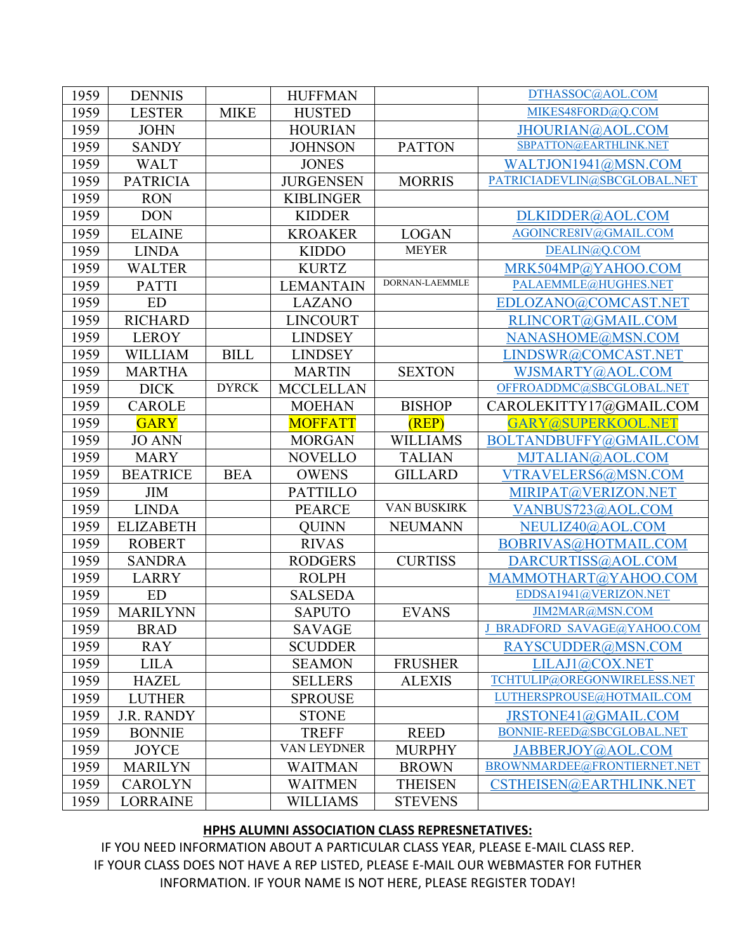| 1959 | <b>DENNIS</b>     |              | <b>HUFFMAN</b>   |                 | DTHASSOC@AOL.COM             |
|------|-------------------|--------------|------------------|-----------------|------------------------------|
| 1959 | <b>LESTER</b>     | <b>MIKE</b>  | <b>HUSTED</b>    |                 | MIKES48FORD@Q.COM            |
| 1959 | <b>JOHN</b>       |              | <b>HOURIAN</b>   |                 | JHOURIAN@AOL.COM             |
| 1959 | <b>SANDY</b>      |              | <b>JOHNSON</b>   | <b>PATTON</b>   | SBPATTON@EARTHLINK.NET       |
| 1959 | <b>WALT</b>       |              | <b>JONES</b>     |                 | WALTJON1941@MSN.COM          |
| 1959 | <b>PATRICIA</b>   |              | <b>JURGENSEN</b> | <b>MORRIS</b>   | PATRICIADEVLIN@SBCGLOBAL.NET |
| 1959 | <b>RON</b>        |              | <b>KIBLINGER</b> |                 |                              |
| 1959 | <b>DON</b>        |              | <b>KIDDER</b>    |                 | DLKIDDER@AOL.COM             |
| 1959 | <b>ELAINE</b>     |              | <b>KROAKER</b>   | <b>LOGAN</b>    | AGOINCRE8IV@GMAIL.COM        |
| 1959 | <b>LINDA</b>      |              | <b>KIDDO</b>     | <b>MEYER</b>    | DEALIN@Q.COM                 |
| 1959 | <b>WALTER</b>     |              | <b>KURTZ</b>     |                 | MRK504MP@YAHOO.COM           |
| 1959 | <b>PATTI</b>      |              | <b>LEMANTAIN</b> | DORNAN-LAEMMLE  | PALAEMMLE@HUGHES.NET         |
| 1959 | <b>ED</b>         |              | <b>LAZANO</b>    |                 | EDLOZANO@COMCAST.NET         |
| 1959 | <b>RICHARD</b>    |              | <b>LINCOURT</b>  |                 | RLINCORT@GMAIL.COM           |
| 1959 | <b>LEROY</b>      |              | <b>LINDSEY</b>   |                 | NANASHOME@MSN.COM            |
| 1959 | <b>WILLIAM</b>    | <b>BILL</b>  | <b>LINDSEY</b>   |                 | LINDSWR@COMCAST.NET          |
| 1959 | <b>MARTHA</b>     |              | <b>MARTIN</b>    | <b>SEXTON</b>   | WJSMARTY@AOL.COM             |
| 1959 | <b>DICK</b>       | <b>DYRCK</b> | <b>MCCLELLAN</b> |                 | OFFROADDMC@SBCGLOBAL.NET     |
| 1959 | <b>CAROLE</b>     |              | <b>MOEHAN</b>    | <b>BISHOP</b>   | CAROLEKITTY17@GMAIL.COM      |
| 1959 | <b>GARY</b>       |              | <b>MOFFATT</b>   | (REP)           | GARY@SUPERKOOL.NET           |
| 1959 | <b>JO ANN</b>     |              | <b>MORGAN</b>    | <b>WILLIAMS</b> | BOLTANDBUFFY@GMAIL.COM       |
| 1959 | <b>MARY</b>       |              | <b>NOVELLO</b>   | <b>TALIAN</b>   | MJTALIAN@AOL.COM             |
| 1959 | <b>BEATRICE</b>   | <b>BEA</b>   | <b>OWENS</b>     | <b>GILLARD</b>  | VTRAVELERS6@MSN.COM          |
| 1959 | <b>JIM</b>        |              | <b>PATTILLO</b>  |                 | MIRIPAT@VERIZON.NET          |
| 1959 | <b>LINDA</b>      |              | <b>PEARCE</b>    | VAN BUSKIRK     |                              |
|      |                   |              |                  |                 | VANBUS723@AOL.COM            |
| 1959 | <b>ELIZABETH</b>  |              | <b>QUINN</b>     | <b>NEUMANN</b>  | NEULIZ40@AOL.COM             |
| 1959 | <b>ROBERT</b>     |              | <b>RIVAS</b>     |                 | BOBRIVAS@HOTMAIL.COM         |
| 1959 | <b>SANDRA</b>     |              | <b>RODGERS</b>   | <b>CURTISS</b>  | DARCURTISS@AOL.COM           |
| 1959 | <b>LARRY</b>      |              | <b>ROLPH</b>     |                 | MAMMOTHART@YAHOO.COM         |
| 1959 | <b>ED</b>         |              | <b>SALSEDA</b>   |                 | EDDSA1941@VERIZON.NET        |
| 1959 | <b>MARILYNN</b>   |              | <b>SAPUTO</b>    | <b>EVANS</b>    | JIM2MAR@MSN.COM              |
| 1959 | <b>BRAD</b>       |              | <b>SAVAGE</b>    |                 | J BRADFORD SAVAGE@YAHOO.COM  |
| 1959 | <b>RAY</b>        |              | <b>SCUDDER</b>   |                 | RAYSCUDDER@MSN.COM           |
| 1959 | <b>LILA</b>       |              | <b>SEAMON</b>    | <b>FRUSHER</b>  | LILAJ1@COX.NET               |
| 1959 | <b>HAZEL</b>      |              | <b>SELLERS</b>   | <b>ALEXIS</b>   | TCHTULIP@OREGONWIRELESS.NET  |
| 1959 | <b>LUTHER</b>     |              | <b>SPROUSE</b>   |                 | LUTHERSPROUSE@HOTMAIL.COM    |
| 1959 | <b>J.R. RANDY</b> |              | <b>STONE</b>     |                 | JRSTONE41@GMAIL.COM          |
| 1959 | <b>BONNIE</b>     |              | <b>TREFF</b>     | <b>REED</b>     | BONNIE-REED@SBCGLOBAL.NET    |
| 1959 | <b>JOYCE</b>      |              | VAN LEYDNER      | <b>MURPHY</b>   | JABBERJOY@AOL.COM            |
| 1959 | <b>MARILYN</b>    |              | <b>WAITMAN</b>   | <b>BROWN</b>    | BROWNMARDEE@FRONTIERNET.NET  |
| 1959 | <b>CAROLYN</b>    |              | <b>WAITMEN</b>   | <b>THEISEN</b>  | CSTHEISEN@EARTHLINK.NET      |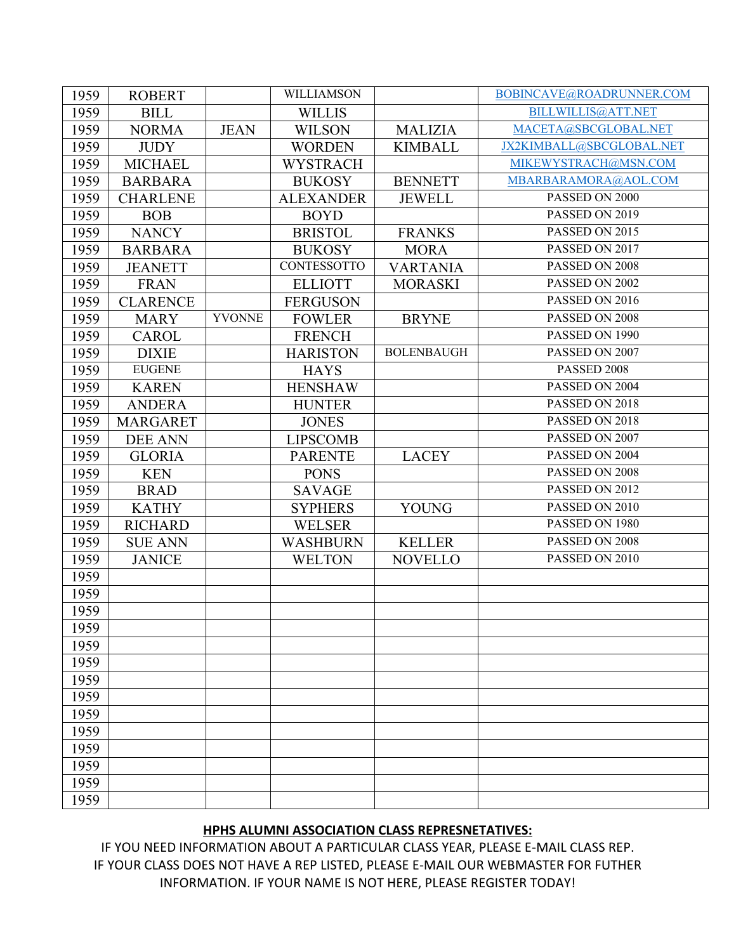| 1959 | <b>ROBERT</b>   |               | WILLIAMSON       |                   | BOBINCAVE@ROADRUNNER.COM |
|------|-----------------|---------------|------------------|-------------------|--------------------------|
| 1959 | <b>BILL</b>     |               | <b>WILLIS</b>    |                   | BILLWILLIS@ATT.NET       |
| 1959 | <b>NORMA</b>    | <b>JEAN</b>   | <b>WILSON</b>    | <b>MALIZIA</b>    | MACETA@SBCGLOBAL.NET     |
| 1959 | <b>JUDY</b>     |               | <b>WORDEN</b>    | <b>KIMBALL</b>    | JX2KIMBALL@SBCGLOBAL.NET |
| 1959 | <b>MICHAEL</b>  |               | <b>WYSTRACH</b>  |                   | MIKEWYSTRACH@MSN.COM     |
| 1959 | <b>BARBARA</b>  |               | <b>BUKOSY</b>    | <b>BENNETT</b>    | MBARBARAMORA@AOL.COM     |
| 1959 | <b>CHARLENE</b> |               | <b>ALEXANDER</b> | <b>JEWELL</b>     | PASSED ON 2000           |
| 1959 | <b>BOB</b>      |               | <b>BOYD</b>      |                   | PASSED ON 2019           |
| 1959 | <b>NANCY</b>    |               | <b>BRISTOL</b>   | <b>FRANKS</b>     | PASSED ON 2015           |
| 1959 | <b>BARBARA</b>  |               | <b>BUKOSY</b>    | <b>MORA</b>       | PASSED ON 2017           |
| 1959 | <b>JEANETT</b>  |               | CONTESSOTTO      | <b>VARTANIA</b>   | PASSED ON 2008           |
| 1959 | <b>FRAN</b>     |               | <b>ELLIOTT</b>   | <b>MORASKI</b>    | PASSED ON 2002           |
| 1959 | <b>CLARENCE</b> |               | <b>FERGUSON</b>  |                   | PASSED ON 2016           |
| 1959 | <b>MARY</b>     | <b>YVONNE</b> | <b>FOWLER</b>    | <b>BRYNE</b>      | PASSED ON 2008           |
| 1959 | <b>CAROL</b>    |               | <b>FRENCH</b>    |                   | PASSED ON 1990           |
| 1959 | <b>DIXIE</b>    |               | <b>HARISTON</b>  | <b>BOLENBAUGH</b> | PASSED ON 2007           |
| 1959 | <b>EUGENE</b>   |               | <b>HAYS</b>      |                   | PASSED 2008              |
| 1959 | <b>KAREN</b>    |               | <b>HENSHAW</b>   |                   | PASSED ON 2004           |
| 1959 | <b>ANDERA</b>   |               | <b>HUNTER</b>    |                   | PASSED ON 2018           |
| 1959 | <b>MARGARET</b> |               | <b>JONES</b>     |                   | PASSED ON 2018           |
| 1959 | <b>DEE ANN</b>  |               | <b>LIPSCOMB</b>  |                   | PASSED ON 2007           |
| 1959 | <b>GLORIA</b>   |               | <b>PARENTE</b>   | <b>LACEY</b>      | PASSED ON 2004           |
| 1959 | <b>KEN</b>      |               | <b>PONS</b>      |                   | PASSED ON 2008           |
| 1959 | <b>BRAD</b>     |               | <b>SAVAGE</b>    |                   | PASSED ON 2012           |
| 1959 | <b>KATHY</b>    |               | <b>SYPHERS</b>   | <b>YOUNG</b>      | PASSED ON 2010           |
| 1959 | <b>RICHARD</b>  |               | <b>WELSER</b>    |                   | PASSED ON 1980           |
| 1959 | <b>SUE ANN</b>  |               | <b>WASHBURN</b>  | <b>KELLER</b>     | PASSED ON 2008           |
| 1959 | <b>JANICE</b>   |               | <b>WELTON</b>    | <b>NOVELLO</b>    | PASSED ON 2010           |
| 1959 |                 |               |                  |                   |                          |
| 1959 |                 |               |                  |                   |                          |
| 1959 |                 |               |                  |                   |                          |
| 1959 |                 |               |                  |                   |                          |
| 1959 |                 |               |                  |                   |                          |
| 1959 |                 |               |                  |                   |                          |
| 1959 |                 |               |                  |                   |                          |
| 1959 |                 |               |                  |                   |                          |
| 1959 |                 |               |                  |                   |                          |
| 1959 |                 |               |                  |                   |                          |
| 1959 |                 |               |                  |                   |                          |
| 1959 |                 |               |                  |                   |                          |
| 1959 |                 |               |                  |                   |                          |
| 1959 |                 |               |                  |                   |                          |